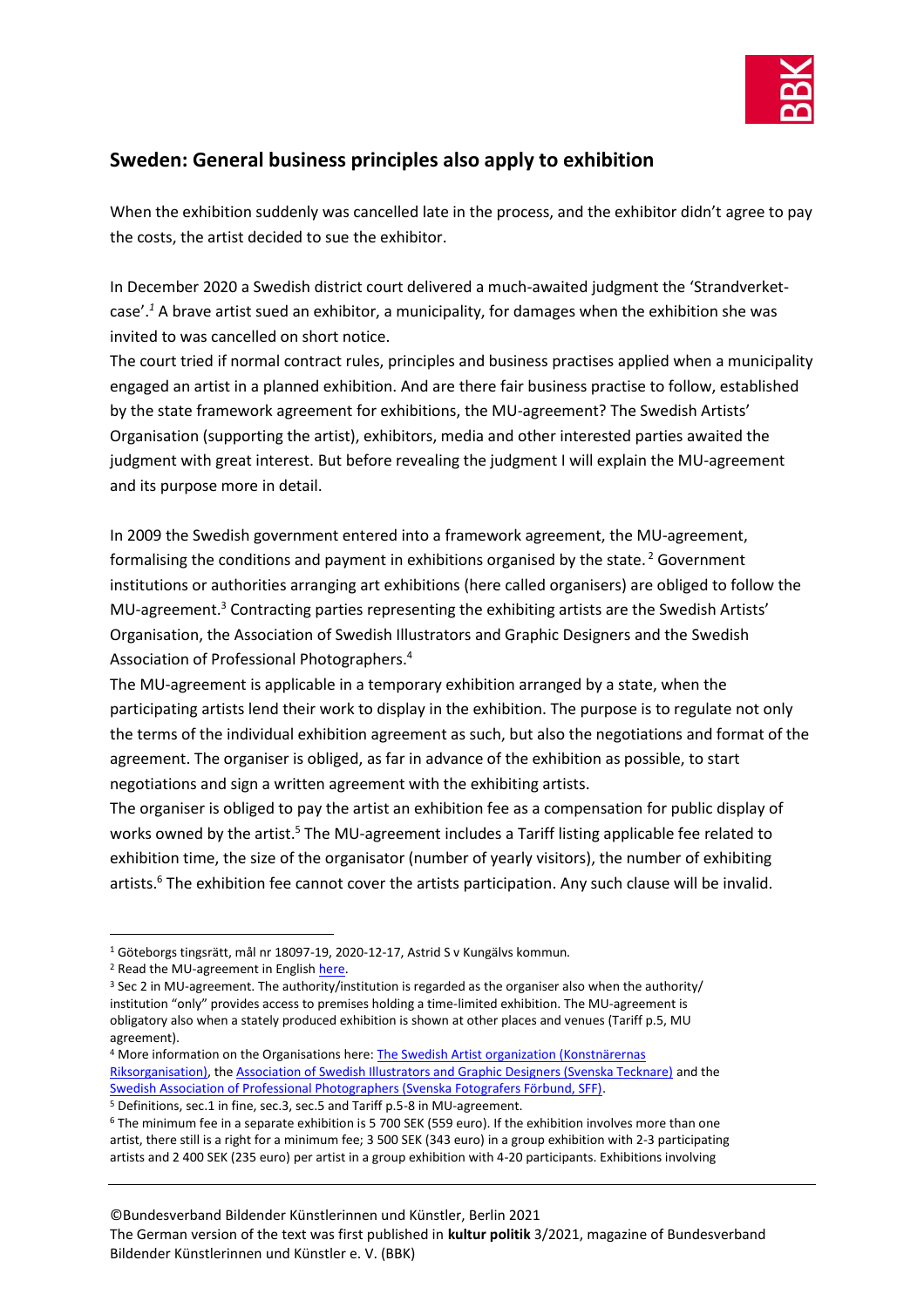

## **Sweden: General business principles also apply to exhibition**

When the exhibition suddenly was cancelled late in the process, and the exhibitor didn't agree to pay the costs, the artist decided to sue the exhibitor.

In December 2020 a Swedish district court delivered a much-awaited judgment the 'Strandverketcase'. *<sup>1</sup>* A brave artist sued an exhibitor, a municipality, for damages when the exhibition she was invited to was cancelled on short notice.

The court tried if normal contract rules, principles and business practises applied when a municipality engaged an artist in a planned exhibition. And are there fair business practise to follow, established by the state framework agreement for exhibitions, the MU-agreement? The Swedish Artists' Organisation (supporting the artist), exhibitors, media and other interested parties awaited the judgment with great interest. But before revealing the judgment I will explain the MU-agreement and its purpose more in detail.

In 2009 the Swedish government entered into a framework agreement, the MU-agreement, formalising the conditions and payment in exhibitions organised by the state.<sup>2</sup> Government institutions or authorities arranging art exhibitions (here called organisers) are obliged to follow the MU-agreement.<sup>3</sup> Contracting parties representing the exhibiting artists are the Swedish Artists' Organisation, the Association of Swedish Illustrators and Graphic Designers and the Swedish Association of Professional Photographers.<sup>4</sup>

The MU-agreement is applicable in a temporary exhibition arranged by a state, when the participating artists lend their work to display in the exhibition. The purpose is to regulate not only the terms of the individual exhibition agreement as such, but also the negotiations and format of the agreement. The organiser is obliged, as far in advance of the exhibition as possible, to start negotiations and sign a written agreement with the exhibiting artists.

The organiser is obliged to pay the artist an exhibition fee as a compensation for public display of works owned by the artist.<sup>5</sup> The MU-agreement includes a Tariff listing applicable fee related to exhibition time, the size of the organisator (number of yearly visitors), the number of exhibiting artists.<sup>6</sup> The exhibition fee cannot cover the artists participation. Any such clause will be invalid.

## ©Bundesverband Bildender Künstlerinnen und Künstler, Berlin 2021

The German version of the text was first published in **kultur politik** 3/2021, magazine of Bundesverband Bildender Künstlerinnen und Künstler e. V. (BBK)

<sup>1</sup> Göteborgs tingsrätt, mål nr 18097-19, 2020-12-17, Astrid S v Kungälvs kommun*.*

<sup>2</sup> Read the MU-agreement in Englis[h here.](https://www.kulturradet.se/globalassets/start/sok-bidrag/vara-bidrag/avtal-for-konstnarers-ersattningar-mu-avtal/dokument-avtal-for-konstnarers-ersattningar-mu-avtal/mu18_eng.pdf) 

<sup>3</sup> Sec 2 in MU-agreement. The authority/institution is regarded as the organiser also when the authority/ institution "only" provides access to premises holding a time-limited exhibition. The MU-agreement is obligatory also when a stately produced exhibition is shown at other places and venues (Tariff p.5, MU agreement).

<sup>&</sup>lt;sup>4</sup> More information on the Organisations here: **The Swedish Artist organization (Konstnärernas** [Riksorganisation\),](http://www.kro.se/the-swedish-artists-association/) th[e Association of Swedish Illustrators and Graphic Designers \(Svenska Tecknare\)](https://www.svenskatecknare.se/in-english/) and the [Swedish Association of Professional Photographers \(Svenska Fotografers Förbund, SFF\).](https://www.sfoto.se/english/) <sup>5</sup> Definitions, sec.1 in fine, sec.3, sec.5 and Tariff p.5-8 in MU-agreement.

<sup>6</sup> The minimum fee in a separate exhibition is 5 700 SEK (559 euro). If the exhibition involves more than one artist, there still is a right for a minimum fee; 3 500 SEK (343 euro) in a group exhibition with 2-3 participating artists and 2 400 SEK (235 euro) per artist in a group exhibition with 4-20 participants. Exhibitions involving